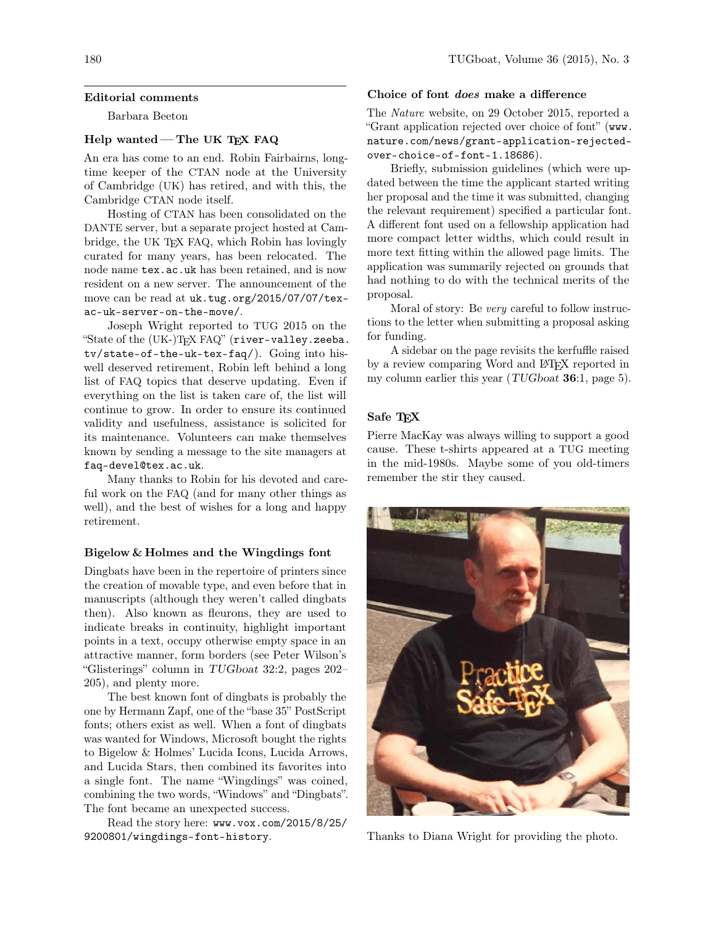### Editorial comments

Barbara Beeton

# Help wanted - The UK TEX FAQ

An era has come to an end. Robin Fairbairns, longtime keeper of the CTAN node at the University of Cambridge (UK) has retired, and with this, the Cambridge CTAN node itself.

Hosting of CTAN has been consolidated on the DANTE server, but a separate project hosted at Cambridge, the UK TEX FAQ, which Robin has lovingly curated for many years, has been relocated. The node name tex.ac.uk has been retained, and is now resident on a new server. The announcement of the move can be read at uk.tug.org/2015/07/07/texac-uk-server-on-the-move/.

Joseph Wright reported to TUG 2015 on the "State of the (UK-)TEX FAQ" (river-valley.zeeba. tv/state-of-the-uk-tex-faq/). Going into hiswell deserved retirement, Robin left behind a long list of FAQ topics that deserve updating. Even if everything on the list is taken care of, the list will continue to grow. In order to ensure its continued validity and usefulness, assistance is solicited for its maintenance. Volunteers can make themselves known by sending a message to the site managers at faq-devel@tex.ac.uk.

Many thanks to Robin for his devoted and careful work on the FAQ (and for many other things as well), and the best of wishes for a long and happy retirement.

### Bigelow & Holmes and the Wingdings font

Dingbats have been in the repertoire of printers since the creation of movable type, and even before that in manuscripts (although they weren't called dingbats then). Also known as fleurons, they are used to indicate breaks in continuity, highlight important points in a text, occupy otherwise empty space in an attractive manner, form borders (see Peter Wilson's "Glisterings" column in TUGboat 32:2, pages 202– 205), and plenty more.

The best known font of dingbats is probably the one by Hermann Zapf, one of the "base 35" PostScript fonts; others exist as well. When a font of dingbats was wanted for Windows, Microsoft bought the rights to Bigelow & Holmes' Lucida Icons, Lucida Arrows, and Lucida Stars, then combined its favorites into a single font. The name "Wingdings" was coined, combining the two words, "Windows" and "Dingbats". The font became an unexpected success.

Read the story here: www.vox.com/2015/8/25/ 9200801/wingdings-font-history.

## 180 TUGboat, Volume 36 (2015), No. 3

## Choice of font does make a difference

The Nature website, on 29 October 2015, reported a "Grant application rejected over choice of font" (www. nature.com/news/grant-application-rejectedover-choice-of-font-1.18686).

Briefly, submission guidelines (which were updated between the time the applicant started writing her proposal and the time it was submitted, changing the relevant requirement) specified a particular font. A different font used on a fellowship application had more compact letter widths, which could result in more text fitting within the allowed page limits. The application was summarily rejected on grounds that had nothing to do with the technical merits of the proposal.

Moral of story: Be very careful to follow instructions to the letter when submitting a proposal asking for funding.

A sidebar on the page revisits the kerfuffle raised by a review comparing Word and IAT<sub>EX</sub> reported in my column earlier this year  $(TUGboat 36:1, page 5)$ .

# Safe TEX

Pierre MacKay was always willing to support a good cause. These t-shirts appeared at a TUG meeting in the mid-1980s. Maybe some of you old-timers remember the stir they caused.



Thanks to Diana Wright for providing the photo.